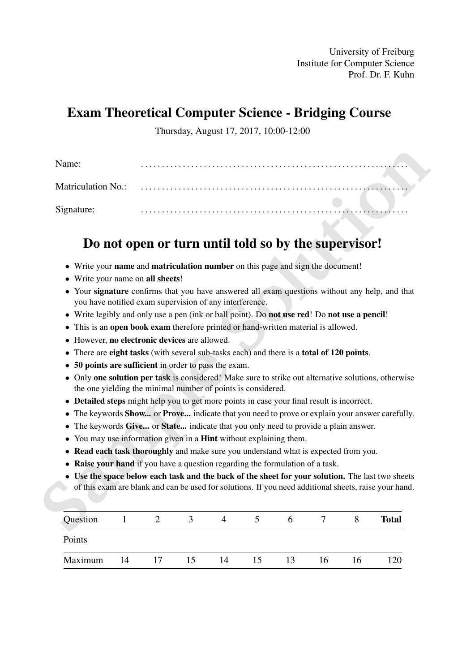University of Freiburg Institute for Computer Science Prof. Dr. F. Kuhn

# Exam Theoretical Computer Science - Bridging Course

Thursday, August 17, 2017, 10:00-12:00

| <b>Matriculation No.:</b> |                                                                                                                                                         |  |  |  |
|---------------------------|---------------------------------------------------------------------------------------------------------------------------------------------------------|--|--|--|
| Signature:                |                                                                                                                                                         |  |  |  |
|                           |                                                                                                                                                         |  |  |  |
|                           |                                                                                                                                                         |  |  |  |
|                           | Do not open or turn until told so by the supervisor!                                                                                                    |  |  |  |
|                           | Write your name and matriculation number on this page and sign the document!                                                                            |  |  |  |
|                           | Write your name on all sheets!                                                                                                                          |  |  |  |
|                           | Your signature confirms that you have answered all exam questions without any help, and that<br>you have notified exam supervision of any interference. |  |  |  |
|                           | Write legibly and only use a pen (ink or ball point). Do not use red! Do not use a pencil!                                                              |  |  |  |
|                           | This is an open book exam therefore printed or hand-written material is allowed.                                                                        |  |  |  |
|                           | However, no electronic devices are allowed.                                                                                                             |  |  |  |
|                           | There are eight tasks (with several sub-tasks each) and there is a total of 120 points.                                                                 |  |  |  |
|                           | 50 points are sufficient in order to pass the exam.                                                                                                     |  |  |  |
|                           | Only one solution per task is considered! Make sure to strike out alternative solutions, otherwise                                                      |  |  |  |
|                           | the one yielding the minimal number of points is considered.                                                                                            |  |  |  |
|                           | <b>Detailed steps</b> might help you to get more points in case your final result is incorrect.                                                         |  |  |  |
| $\bullet$                 | The keywords <b>Show</b> or <b>Prove</b> indicate that you need to prove or explain your answer carefully.                                              |  |  |  |
|                           | The keywords Give or State indicate that you only need to provide a plain answer.                                                                       |  |  |  |
|                           | You may use information given in a <b>Hint</b> without explaining them.                                                                                 |  |  |  |
|                           | Read each task thoroughly and make sure you understand what is expected from you.                                                                       |  |  |  |
|                           | <b>Raise your hand</b> if you have a question regarding the formulation of a task.                                                                      |  |  |  |
|                           | Use the space below each task and the back of the sheet for your solution. The last two sheets                                                          |  |  |  |
|                           | of this exam are blank and can be used for solutions. If you need additional sheets, raise your hand.                                                   |  |  |  |
|                           |                                                                                                                                                         |  |  |  |

# Do not open or turn until told so by the supervisor!

- Write your name and matriculation number on this page and sign the document!
- Write your name on all sheets!
- Your signature confirms that you have answered all exam questions without any help, and that you have notified exam supervision of any interference.
- Write legibly and only use a pen (ink or ball point). Do not use red! Do not use a pencil!
- This is an open book exam therefore printed or hand-written material is allowed.
- However, no electronic devices are allowed.
- There are eight tasks (with several sub-tasks each) and there is a total of 120 points.
- 50 points are sufficient in order to pass the exam.
- Only one solution per task is considered! Make sure to strike out alternative solutions, otherwise the one yielding the minimal number of points is considered.
- Detailed steps might help you to get more points in case your final result is incorrect.
- The keywords **Show...** or **Prove...** indicate that you need to prove or explain your answer carefully.
- The keywords Give... or State... indicate that you only need to provide a plain answer.
- You may use information given in a **Hint** without explaining them.
- Read each task thoroughly and make sure you understand what is expected from you.
- Raise your hand if you have a question regarding the formulation of a task.
- Use the space below each task and the back of the sheet for your solution. The last two sheets of this exam are blank and can be used for solutions. If you need additional sheets, raise your hand.

| Question |    |    | $\mathfrak{I}$ |    |    | <sub>0</sub> |    |    | <b>Total</b> |
|----------|----|----|----------------|----|----|--------------|----|----|--------------|
| Points   |    |    |                |    |    |              |    |    |              |
| Maximum  | 14 | 17 | 15             | 14 | 15 | 13           | 16 | 16 | 120          |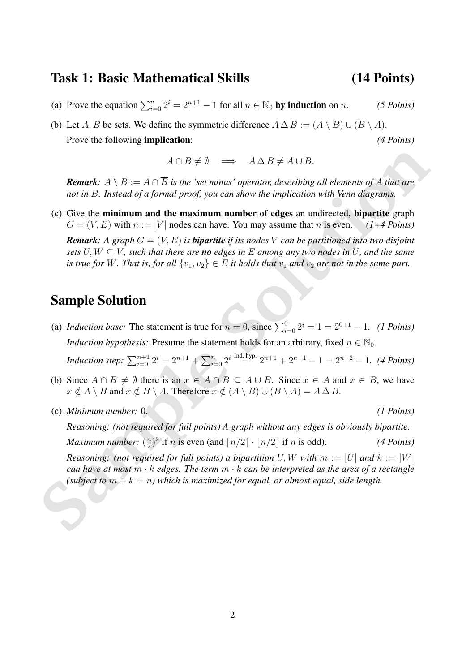### Task 1: Basic Mathematical Skills (14 Points)

- (a) Prove the equation  $\sum_{i=0}^{n} 2^i = 2^{n+1} 1$  for all  $n \in \mathbb{N}_0$  by induction on *n*. *(5 Points)*
- (b) Let A, B be sets. We define the symmetric difference  $A \Delta B := (A \setminus B) \cup (B \setminus A)$ . Prove the following **implication:** *(4 Points)*

 $A \cap B \neq \emptyset \implies A \Delta B \neq A \cup B.$ 

*Remark:*  $A \setminus B := A \cap \overline{B}$  *is the 'set minus' operator, describing all elements of* A *that are not in* B*. Instead of a formal proof, you can show the implication with Venn diagrams.*

 $A \cap B \neq \emptyset \implies A \Delta B \neq A \cup B$ .<br> **Remark:**  $A \setminus B := A \cap B$  is the 'set minus' operator, describing all elements of A that are<br>
not in *B*. Instead of a formal proof, you can show the implication with Venn diagrams.<br>
(c) Give the (c) Give the minimum and the maximum number of edges an undirected, bipartite graph  $G = (V, E)$  with  $n := |V|$  nodes can have. You may assume that n is even. *(1+4 Points) Remark:* A graph  $G = (V, E)$  *is bipartite if its nodes* V *can be partitioned into two disjoint sets*  $U, W \subseteq V$ , such that there are **no** edges in E among any two nodes in U, and the same *is true for* W. That is, for all  $\{v_1, v_2\} \in E$  *it holds that*  $v_1$  *and*  $v_2$  *are not in the same part.* 

## Sample Solution

(a) *Induction base:* The statement is true for  $n = 0$ , since  $\sum_{i=0}^{0} 2^i = 1 = 2^{0+1} - 1$ . *(1 Points) Induction hypothesis:* Presume the statement holds for an arbitrary, fixed  $n \in \mathbb{N}_0$ .

*Induction step:*  $\sum_{i=0}^{n+1} 2^i = 2^{n+1} + \sum_{i=0}^{n} 2^{i} \stackrel{\text{Ind. hyp.}}{=} 2^{n+1} + 2^{n+1} - 1 = 2^{n+2} - 1.$  *(4 Points)* 

- (b) Since  $A \cap B \neq \emptyset$  there is an  $x \in A \cap B \subseteq A \cup B$ . Since  $x \in A$  and  $x \in B$ , we have  $x \notin A \setminus B$  and  $x \notin B \setminus A$ . Therefore  $x \notin (A \setminus B) \cup (B \setminus A) = A \Delta B$ .
- (c) *Minimum number:* 0. *(1 Points)*

*Reasoning: (not required for full points) A graph without any edges is obviously bipartite. Maximum number:* ( $\frac{n}{2}$ )  $\frac{n}{2}$ <sup>2</sup> if *n* is even (and  $\lceil n/2 \rceil \cdot \lfloor n/2 \rfloor$  if *n* is odd). *(4 Points) Reasoning: (not required for full points) a bipartition* U, W with  $m := |U|$  and  $k := |W|$ 

*can have at most* m · k *edges. The term* m · k *can be interpreted as the area of a rectangle (subject to*  $m + k = n$ *)* which is maximized for equal, or almost equal, side length.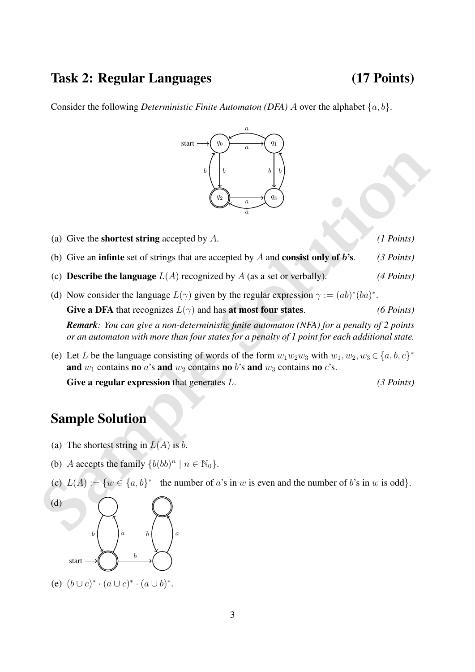## Task 2: Regular Languages (17 Points)

Consider the following *Deterministic Finite Automaton (DFA)* A over the alphabet  $\{a, b\}$ .



(a) Give the shortest string accepted by A. *(1 Points)*

- (b) Give an infinte set of strings that are accepted by A and consist only of b's. *(3 Points)*
- (c) **Describe the language**  $L(A)$  recognized by A (as a set or verbally). *(4 Points)*
- (a) Give the **shortest string** accepted by A.<br>
(b) Give an infinite set of strings that are accepted by A and **consist only of b's.** (*3 Points)*<br>
(c) Describe the language  $L(A)$  recognized by A (as a set or verbally). ( (d) Now consider the language  $L(\gamma)$  given by the regular expression  $\gamma := (ab)^*(ba)^*$ . Give a DFA that recognizes  $L(\gamma)$  and has at most four states. *(6 Points) Remark: You can give a non-deterministic finite automaton (NFA) for a penalty of 2 points or an automaton with more than four states for a penalty of 1 point for each additional state.*
	- (e) Let L be the language consisting of words of the form  $w_1w_2w_3$  with  $w_1, w_2, w_3 \in \{a, b, c\}^*$ and  $w_1$  contains no a's and  $w_2$  contains no b's and  $w_3$  contains no c's.

Give a regular expression that generates L. *(3 Points)* 

## Sample Solution

- (a) The shortest string in  $L(A)$  is b.
- (b) A accepts the family  $\{b(bb)^n \mid n \in \mathbb{N}_0\}.$
- (c)  $L(A) := \{w \in \{a, b\}^* \mid \text{the number of } a \text{'s in } w \text{ is even and the number of } b \text{'s in } w \text{ is odd}\}.$



(e)  $(b \cup c)^* \cdot (a \cup c)^* \cdot (a \cup b)^*$ .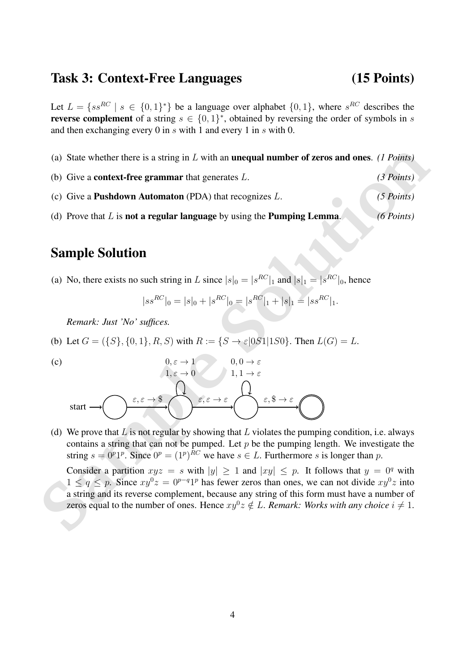### Task 3: Context-Free Languages (15 Points)

Let  $L = \{ss^{RC} | s \in \{0,1\}^*\}$  be a language over alphabet  $\{0,1\}$ , where  $s^{RC}$  describes the **reverse complement** of a string  $s \in \{0,1\}^*$ , obtained by reversing the order of symbols in s and then exchanging every 0 in s with 1 and every 1 in s with 0.

- (a) State whether there is a string in L with an unequal number of zeros and ones. *(1 Points)*
- (b) Give a context-free grammar that generates L. *(3 Points)*
- (c) Give a Pushdown Automaton (PDA) that recognizes L. *(5 Points)*
- (d) Prove that L is not a regular language by using the Pumping Lemma. *(6 Points)*

# Sample Solution

(a) No, there exists no such string in L since  $|s|_0 = |s^{RC}|_1$  and  $|s|_1 = |s^{RC}|_0$ , hence

$$
|ss^{RC}|_0 = |s|_0 + |s^{RC}|_0 = |s^{RC}|_1 + |s|_1 = |ss^{RC}|_1.
$$

*Remark: Just 'No' suffices.*

(b) Let 
$$
G = (\{S\}, \{0, 1\}, R, S)
$$
 with  $R := \{S \to \varepsilon | 0S1 | 1S0\}$ . Then  $L(G) = L$ .

(c)

(a) State whether there is a string in *L* with an **unequal number of zeros and ones.** *(1 Points)*<br>
(b) Give a **context-free grammar** that generates *L*. (3 Points)<br>
(c) Give a **Pushdown Automaton** (PDA) that recognizes start  $\varepsilon, \varepsilon \to \$$  $0, \varepsilon \to 1$  $1, \varepsilon \to 0$  $\varepsilon, \varepsilon \to \varepsilon$  $0, 0 \rightarrow \varepsilon$  $1, 1 \rightarrow \epsilon$ ε,  $\$\$ 

(d) We prove that  $L$  is not regular by showing that  $L$  violates the pumping condition, i.e. always contains a string that can not be pumped. Let  $p$  be the pumping length. We investigate the string  $s = 0^p 1^p$ . Since  $0^p = (1^p)^{RC}$  we have  $s \in L$ . Furthermore s is longer than p.

Consider a partition  $xyz = s$  with  $|y| \ge 1$  and  $|xy| \le p$ . It follows that  $y = 0^q$  with  $1 \le q \le p$ . Since  $xy^0z = 0^{p-q}1^p$  has fewer zeros than ones, we can not divide  $xy^0z$  into a string and its reverse complement, because any string of this form must have a number of zeros equal to the number of ones. Hence  $xy^0z \notin L$ . *Remark: Works with any choice*  $i \neq 1$ .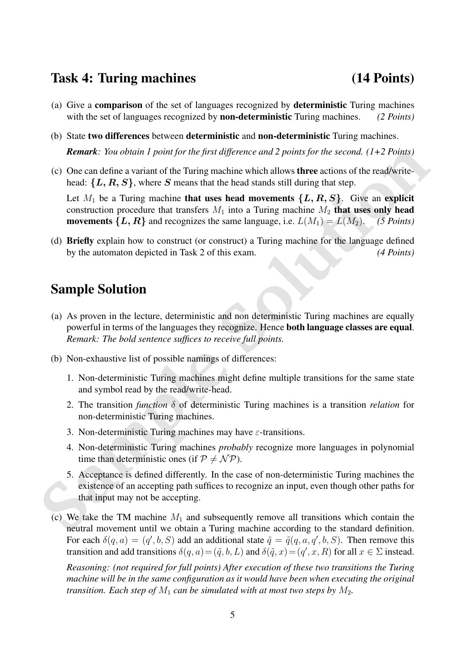### Task 4: Turing machines (14 Points)

- (a) Give a comparison of the set of languages recognized by deterministic Turing machines with the set of languages recognized by non-deterministic Turing machines. *(2 Points)*
- (b) State two differences between deterministic and non-deterministic Turing machines. *Remark: You obtain 1 point for the first difference and 2 points for the second. (1+2 Points)*
- (c) One can define a variant of the Turing machine which allows three actions of the read/writehead:  $\{L, R, S\}$ , where S means that the head stands still during that step.

Let  $M_1$  be a Turing machine that uses head movements  $\{L, R, S\}$ . Give an explicit construction procedure that transfers  $M_1$  into a Turing machine  $M_2$  that uses only head **movements**  $\{L, R\}$  and recognizes the same language, i.e.  $L(M_1) = L(M_2)$ . *(5 Points)* 

(d) Briefly explain how to construct (or construct) a Turing machine for the language defined by the automaton depicted in Task 2 of this exam. *(4 Points)*

## Sample Solution

- **Remark:** You obtain I point for the first difference and 2 points for the second. (1+2 Points)<br>
(c) One can define a variant of the Turing machine which allows three actions of the read/write-<br>
head: {L, R, S}, where S m (a) As proven in the lecture, deterministic and non deterministic Turing machines are equally powerful in terms of the languages they recognize. Hence both language classes are equal. *Remark: The bold sentence suffices to receive full points.*
	- (b) Non-exhaustive list of possible namings of differences:
		- 1. Non-deterministic Turing machines might define multiple transitions for the same state and symbol read by the read/write-head.
		- 2. The transition *function* δ of deterministic Turing machines is a transition *relation* for non-deterministic Turing machines.
		- 3. Non-deterministic Turing machines may have  $\varepsilon$ -transitions.
		- 4. Non-deterministic Turing machines *probably* recognize more languages in polynomial time than deterministic ones (if  $P \neq \mathcal{NP}$ ).
		- 5. Acceptance is defined differently. In the case of non-deterministic Turing machines the existence of an accepting path suffices to recognize an input, even though other paths for that input may not be accepting.
	- (c) We take the TM machine  $M_1$  and subsequently remove all transitions which contain the neutral movement until we obtain a Turing machine according to the standard definition. For each  $\delta(q, a) = (q', b, S)$  add an additional state  $\tilde{q} = \tilde{q}(q, a, q', b, S)$ . Then remove this transition and add transitions  $\delta(q, a) = (\tilde{q}, b, L)$  and  $\delta(\tilde{q}, x) = (q', x, R)$  for all  $x \in \Sigma$  instead.

*Reasoning: (not required for full points) After execution of these two transitions the Turing machine will be in the same configuration as it would have been when executing the original transition. Each step of*  $M_1$  *can be simulated with at most two steps by*  $M_2$ *.*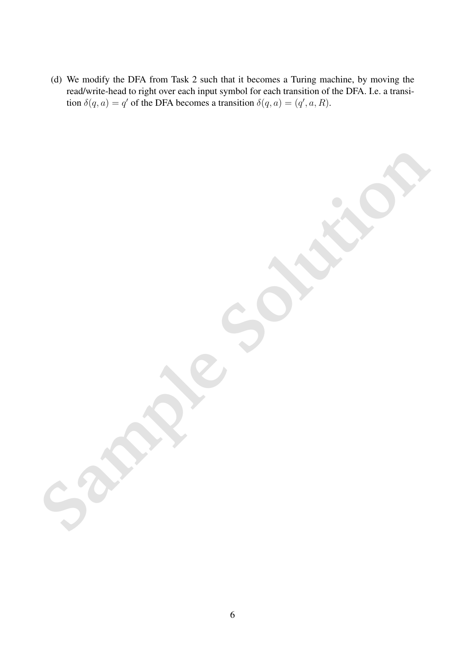(d) We modify the DFA from Task 2 such that it becomes a Turing machine, by moving the read/write-head to right over each input symbol for each transition of the DFA. I.e. a transition  $\delta(q, a) = q'$  of the DFA becomes a transition  $\delta(q, a) = (q', a, R)$ .

**Samples** Suites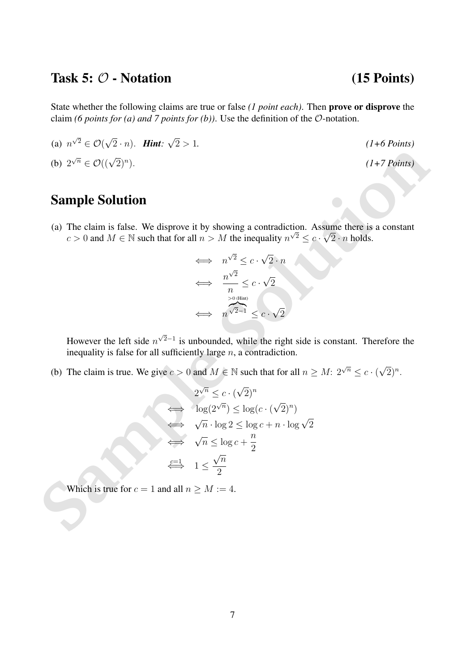## Task 5:  $\mathcal{O}$  - Notation (15 Points)

2 > 1*. (1+6 Points)*

). *(1+7 Points)*

State whether the following claims are true or false *(1 point each)*. Then prove or disprove the claim *(6 points for (a) and 7 points for (b))*. Use the definition of the O-notation.

(a)  $n^{\sqrt{2}} \in \mathcal{O}$ √  $(2 \cdot n)$ . *Hint*: √

$$
(b) 2^{\sqrt{n}} \in \mathcal{O}((\sqrt{2})^n)
$$

## Sample Solution

(a) The claim is false. We disprove it by showing a contradiction. Assume there is a constant  $c > 0$  and  $M \in \mathbb{N}$  such that for all  $n > M$  the inequality  $n^{\sqrt{2}} \leq c \cdot \sqrt{2} \cdot n$  holds.

$$
\iff n^{\sqrt{2}} \leq c \cdot \sqrt{2} \cdot n
$$
  

$$
\iff \frac{n^{\sqrt{2}}}{n} \leq c \cdot \sqrt{2}
$$
  

$$
\iff n^{\sqrt{2}-1} \leq c \cdot \sqrt{2}
$$

However the left side  $n^{\sqrt{2}-1}$  is unbounded, while the right side is constant. Therefore the inequality is false for all sufficiently large  $n$ , a contradiction.

(b) The claim is true. We give  $c > 0$  and  $M \in \mathbb{N}$  such that for all  $n \ge M: 2^{\sqrt{n}} \le c \cdot ($ √  $\overline{2})^n$ .

**Sample Solution**  
\n(a) The claim is false. We disprove it by showing a contradiction. Assume there is a constant 
$$
c > 0
$$
 and  $M \in \mathbb{N}$  such that for all  $n > M$  the inequality  $n^{\sqrt{2}} \le c \cdot \sqrt{2} \cdot n$  holds.  
\n⇒  $n^{\sqrt{2}} \le c \cdot \sqrt{2} \cdot n$   
\n⇒  $\frac{n^{\sqrt{2}}}{n} \le c \cdot \sqrt{2}$   
\nHowever the left side  $n^{\sqrt{2}-1}$  is unbounded, while the right side is constant. Therefore the inequality is false for all sufficiently large *n*, a contradiction.  
\n(b) The claim is true. We give  $c > 0$  and  $M \in \mathbb{N}$  such that for all  $n \ge M$ :  $2^{\sqrt{n}} \le c \cdot (\sqrt{2})^n$ .  
\n $2^{\sqrt{n}} \le c \cdot (\sqrt{2})^n$   
\n⇒  $\log(2^{\sqrt{n}}) \le \log(c \cdot (\sqrt{2})^n)$   
\n⇒  $\sqrt{n} \cdot \log 2 \le \log c + n \cdot \log \sqrt{2}$   
\n⇒  $\sqrt{n} \le \log c + \frac{n}{2}$   
\nwhich is true for  $c = 1$  and all  $n \ge M$ : = 4.

Which is true for  $c = 1$  and all  $n \ge M := 4$ .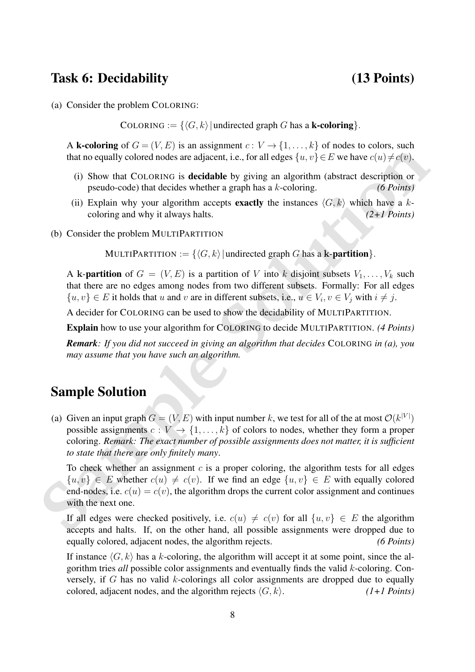## Task 6: Decidability (13 Points)

(a) Consider the problem COLORING:

COLORING :=  $\{\langle G, k \rangle |$  undirected graph G has a **k-coloring**.

A **k-coloring** of  $G = (V, E)$  is an assignment  $c: V \to \{1, \ldots, k\}$  of nodes to colors, such that no equally colored nodes are adjacent, i.e., for all edges  $\{u, v\} \in E$  we have  $c(u) \neq c(v)$ .

- (i) Show that COLORING is decidable by giving an algorithm (abstract description or pseudo-code) that decides whether a graph has a k-coloring. *(6 Points)*
- (ii) Explain why your algorithm accepts **exactly** the instances  $\langle G, k \rangle$  which have a kcoloring and why it always halts. *(2+1 Points)*
- (b) Consider the problem MULTIPARTITION

MULTIPARTITION :=  $\{\langle G, k \rangle |$  undirected graph G has a k-**partition** $\}$ .

A k-partition of  $G = (V, E)$  is a partition of V into k disjoint subsets  $V_1, \ldots, V_k$  such that there are no edges among nodes from two different subsets. Formally: For all edges  $\{u, v\} \in E$  it holds that u and v are in different subsets, i.e.,  $u \in V_i$ ,  $v \in V_j$  with  $i \neq j$ .

A decider for COLORING can be used to show the decidability of MULTIPARTITION.

Explain how to use your algorithm for COLORING to decide MULTIPARTITION. *(4 Points)*

*Remark: If you did not succeed in giving an algorithm that decides* COLORING *in (a), you may assume that you have such an algorithm.*

# Sample Solution

**EVALUATE ALTERT COLUTION**<br>
That no equally colored nodes are adjacent, i.e., for all edges  $\{u, v\} \in E$  we have  $c(u) \neq c(v)$ .<br>
(i) Show that COLORING is decidable by giving an algorithm (abstract description or<br>
pseudo-co (a) Given an input graph  $G = (V, E)$  with input number k, we test for all of the at most  $\mathcal{O}(k^{|V|})$ possible assignments  $c : V \to \{1, \ldots, k\}$  of colors to nodes, whether they form a proper coloring. *Remark: The exact number of possible assignments does not matter, it is sufficient to state that there are only finitely many*.

To check whether an assignment  $c$  is a proper coloring, the algorithm tests for all edges  $\{u, v\} \in E$  whether  $c(u) \neq c(v)$ . If we find an edge  $\{u, v\} \in E$  with equally colored end-nodes, i.e.  $c(u) = c(v)$ , the algorithm drops the current color assignment and continues with the next one.

If all edges were checked positively, i.e.  $c(u) \neq c(v)$  for all  $\{u, v\} \in E$  the algorithm accepts and halts. If, on the other hand, all possible assignments were dropped due to equally colored, adjacent nodes, the algorithm rejects. *(6 Points)*

If instance  $\langle G, k \rangle$  has a k-coloring, the algorithm will accept it at some point, since the algorithm tries *all* possible color assignments and eventually finds the valid k-coloring. Conversely, if  $G$  has no valid  $k$ -colorings all color assignments are dropped due to equally colored, adjacent nodes, and the algorithm rejects  $\langle G, k \rangle$ . *(1+1 Points)*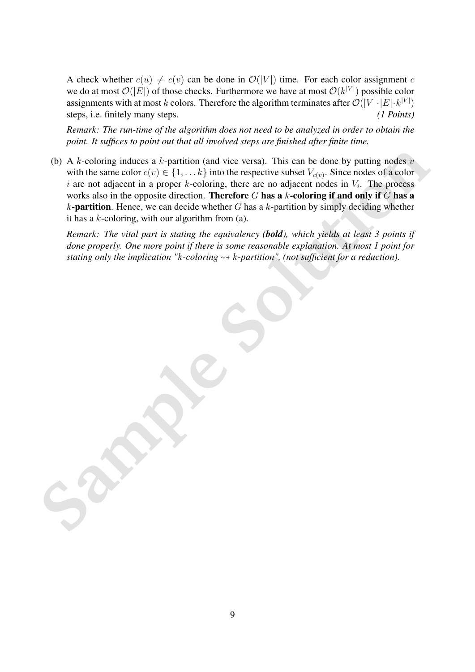A check whether  $c(u) \neq c(v)$  can be done in  $\mathcal{O}(|V|)$  time. For each color assignment c we do at most  $\mathcal{O}(|E|)$  of those checks. Furthermore we have at most  $\mathcal{O}(k^{|V|})$  possible color assignments with at most k colors. Therefore the algorithm terminates after  $\mathcal{O}(|V| \cdot |E| \cdot k^{|V|})$ steps, i.e. finitely many steps. *(1 Points)*

*Remark: The run-time of the algorithm does not need to be analyzed in order to obtain the point. It suffices to point out that all involved steps are finished after finite time.*

(b) A *k*-coloring induces a *k*-partition (and vice versa). This can be done by putting nodes *c* with the same color  $c(v) \in \{1, \ldots, k\}$  into the respective subset  $V_{\text{cos}}$ . Since nodes of a color stress is  $v$ , the pro (b) A k-coloring induces a k-partition (and vice versa). This can be done by putting nodes  $v$ with the same color  $c(v) \in \{1, \ldots k\}$  into the respective subset  $V_{c(v)}$ . Since nodes of a color i are not adjacent in a proper  $k$ -coloring, there are no adjacent nodes in  $V_i$ . The process works also in the opposite direction. Therefore  $G$  has a  $k$ -coloring if and only if  $G$  has a  $k$ -partition. Hence, we can decide whether G has a  $k$ -partition by simply deciding whether it has a  $k$ -coloring, with our algorithm from (a).

*Remark: The vital part is stating the equivalency (bold), which yields at least 3 points if done properly. One more point if there is some reasonable explanation. At most 1 point for stating only the implication "k-coloring*  $\rightarrow k$ -partition", (not sufficient for a reduction).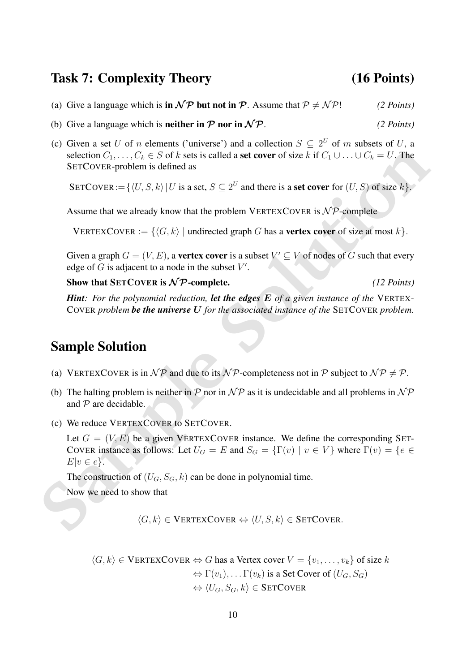## Task 7: Complexity Theory (16 Points)

- (a) Give a language which is **in**  $\mathcal{NP}$  but not **in**  $\mathcal{P}$ . Assume that  $\mathcal{P} \neq \mathcal{NP}$ ! *(2 Points)*
- (b) Give a language which is **neither in**  $\mathcal{P}$  **nor in**  $\mathcal{NP}$ . (2 Points)
- (c) Given a set U of n elements ('universe') and a collection  $S \subseteq 2^U$  of m subsets of U, a selection  $C_1, \ldots, C_k \in S$  of k sets is called a set cover of size k if  $C_1 \cup \ldots \cup C_k = U$ . The SETCOVER-problem is defined as

SETCOVER :=  $\{ \langle U, S, k \rangle | U$  is a set,  $S \subseteq 2^U$  and there is a set cover for  $(U, S)$  of size k.

Assume that we already know that the problem VERTEXCOVER is  $N\mathcal{P}$ -complete

VERTEXCOVER :=  $\{\langle G, k \rangle \mid \text{undirected graph } G \text{ has a vertex cover of size at most } k\}.$ 

Given a graph  $G = (V, E)$ , a **vertex cover** is a subset  $V' \subseteq V$  of nodes of G such that every edge of  $G$  is adjacent to a node in the subset  $V'$ .

Show that  $SETCover$  is  $N\mathcal{P}$ -complete. *(12 Points)* 

*Hint: For the polynomial reduction, let the edges* E *of a given instance of the* VERTEX-COVER *problem be the universe* U *for the associated instance of the* SETCOVER *problem.*

## Sample Solution

- (a) VERTEXCOVER is in  $\mathcal{NP}$  and due to its  $\mathcal{NP}$ -completeness not in P subject to  $\mathcal{NP} \neq \mathcal{P}$ .
- (b) The halting problem is neither in  $\mathcal P$  nor in  $\mathcal NP$  as it is undecidable and all problems in  $\mathcal NP$ and  $P$  are decidable.
- (c) We reduce VERTEXCOVER to SETCOVER.

**Sample Solution**<br> **SETCOVER-problem is defined as**<br> **SETCOVER-problem is defined as**<br> **SETCOVER:**  $=\{(U, S, k) | U \text{ is a set, } S \subseteq 2^U \text{ and there is a set } \text{cover for } (U, S) \text{ of size } k\}$ <br> **Assume that we already know that the problem VERTEXCOVER is N\** Let  $G = (V, E)$  be a given VERTEXCOVER instance. We define the corresponding SET-COVER instance as follows: Let  $U_G = E$  and  $S_G = \{\Gamma(v) \mid v \in V\}$  where  $\Gamma(v) = \{e \in$  $E|v \in e$ .

The construction of  $(U_G, S_G, k)$  can be done in polynomial time.

Now we need to show that

 $\langle G, k \rangle \in \text{VERTEXCover} \Leftrightarrow \langle U, S, k \rangle \in \text{SETCover}.$ 

 $\langle G, k \rangle \in \text{VERTEXCover} \Leftrightarrow G$  has a Vertex cover  $V = \{v_1, \ldots, v_k\}$  of size k  $\Leftrightarrow \Gamma(v_1), \ldots \Gamma(v_k)$  is a Set Cover of  $(U_G, S_G)$  $\Leftrightarrow \langle U_G, S_G, k \rangle \in$  SETCOVER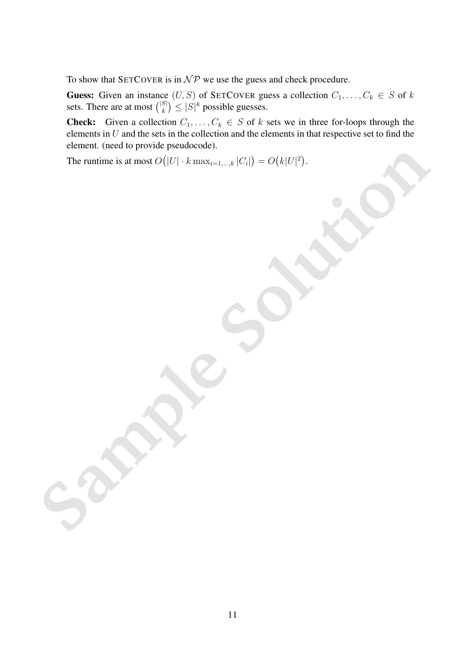To show that SETCOVER is in  $\mathcal{NP}$  we use the guess and check procedure.

**Guess:** Given an instance  $(U, S)$  of SETCOVER guess a collection  $C_1, \ldots, C_k \in S$  of k sets. There are at most  $\binom{|S|}{k}$  $|S|$   $\leq |S|^k$  possible guesses.

**Check:** Given a collection  $C_1, \ldots, C_k \in S$  of k sets we in three for-loops through the elements in  $U$  and the sets in the collection and the elements in that respective set to find the element. (need to provide pseudocode).

The runtime is at most  $O(|U| \cdot k \max_{i=1,\dots,k} |C_i|) = O(k|U|^2)$ .

The numine is a most  $O(|U| \cdot k \max_{c=1,\ldots,k} |C_i|) = O(k|U^2).$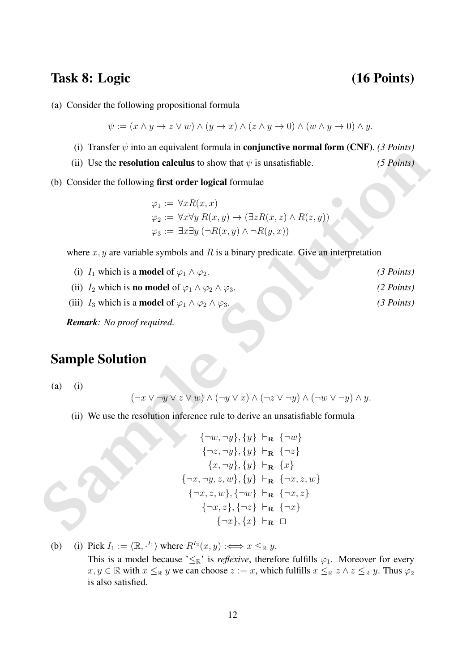## Task 8: Logic (16 Points)

(a) Consider the following propositional formula

$$
\psi := (x \wedge y \to z \vee w) \wedge (y \to x) \wedge (z \wedge y \to 0) \wedge (w \wedge y \to 0) \wedge y.
$$

- (i) Transfer  $\psi$  into an equivalent formula in **conjunctive normal form (CNF)**. *(3 Points)*
- (ii) Use the **resolution calculus** to show that  $\psi$  is unsatisfiable. *(5 Points)*
- (b) Consider the following first order logical formulae

 $\varphi_1 := \forall x R(x,x)$  $\varphi_2 := \forall x \forall y R(x, y) \rightarrow (\exists z R(x, z) \land R(z, y))$  $\varphi_3 := \exists x \exists y \, (\neg R(x, y) \land \neg R(y, x))$ 

where  $x, y$  are variable symbols and  $R$  is a binary predicate. Give an interpretation

(i) Taistof *v* under the continuum in computation (c.Nr.). C rotation<br>
(ii) Use the resolution calculus to show that  $\psi$  is unsatisfiable. (5 Peints)<br>
(b) Consider the following first order logical formulae<br>  $\varphi_1 := \forall x F$ (i)  $I_1$  which is a **model** of  $\varphi_1 \wedge \varphi_2$ . *(3 Points)* (ii)  $I_2$  which is **no model** of  $\varphi_1 \wedge \varphi_2 \wedge \varphi_3$ . *(2 Points)* (iii)  $I_3$  which is a **model** of  $\varphi_1 \wedge \varphi_2 \wedge \varphi_3$ . *(3 Points)* 

*Remark: No proof required.*

## Sample Solution

(a) (i)

$$
(\neg x \lor \neg y \lor z \lor w) \land (\neg y \lor x) \land (\neg z \lor \neg y) \land (\neg w \lor \neg y) \land y.
$$

(ii) We use the resolution inference rule to derive an unsatisfiable formula

$$
\{\neg w, \neg y\}, \{y\} \vdash_{\mathbf{R}} \{\neg w\} \{\neg z, \neg y\}, \{y\} \vdash_{\mathbf{R}} \{\neg z\} \n\{x, \neg y\}, \{y\} \vdash_{\mathbf{R}} \{x\} \{\neg x, \neg y, z, w\}, \{y\} \vdash_{\mathbf{R}} \{\neg x, z, w\} \{\neg x, z, w\}, \{\neg w\} \vdash_{\mathbf{R}} \{\neg x, z\} \{\neg x, z\}, \{\neg z\} \vdash_{\mathbf{R}} \{\neg x\} \{\neg x\}, \{x\} \vdash_{\mathbf{R}} \Box
$$

(b) (i) Pick  $I_1 := \langle \mathbb{R}, \cdot^{I_1} \rangle$  where  $R^{I_2}(x, y) : \iff x \leq_{\mathbb{R}} y$ . This is a model because ' $\leq_{\mathbb{R}}$ ' is *reflexive*, therefore fulfills  $\varphi_1$ . Moreover for every  $x, y \in \mathbb{R}$  with  $x \leq_{\mathbb{R}} y$  we can choose  $z := x$ , which fulfills  $x \leq_{\mathbb{R}} z \wedge z \leq_{\mathbb{R}} y$ . Thus  $\varphi_2$ is also satisfied.